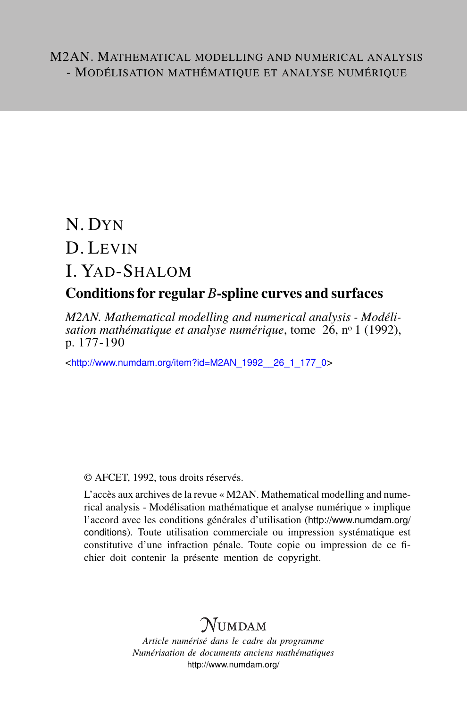# N. DYN D. LEVIN I. YAD-SHALOM

### Conditions for regular *B*-spline curves and surfaces

*M2AN. Mathematical modelling and numerical analysis - Modélisation mathématique et analyse numérique*, tome 26, n<sup>o</sup> 1 (1992), p. 177-190

<[http://www.numdam.org/item?id=M2AN\\_1992\\_\\_26\\_1\\_177\\_0](http://www.numdam.org/item?id=M2AN_1992__26_1_177_0)>

### © AFCET, 1992, tous droits réservés.

L'accès aux archives de la revue « M2AN. Mathematical modelling and numerical analysis - Modélisation mathématique et analyse numérique » implique l'accord avec les conditions générales d'utilisation ([http://www.numdam.org/](http://www.numdam.org/conditions) [conditions](http://www.numdam.org/conditions)). Toute utilisation commerciale ou impression systématique est constitutive d'une infraction pénale. Toute copie ou impression de ce fichier doit contenir la présente mention de copyright.

## $\mathcal N$ umdam

*Article numérisé dans le cadre du programme Numérisation de documents anciens mathématiques* <http://www.numdam.org/>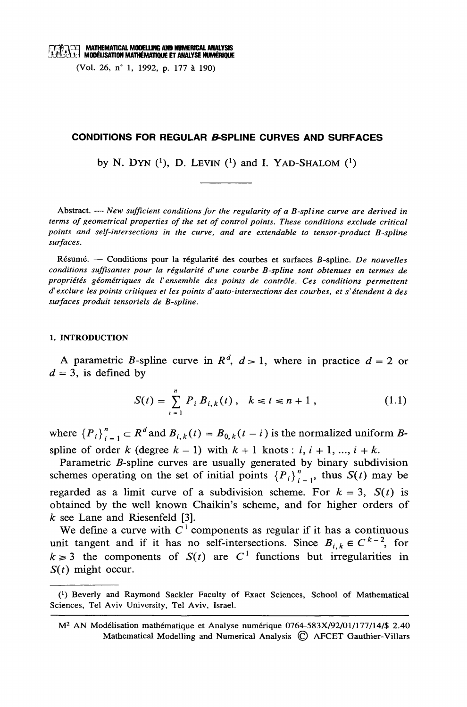MATHEMATICAL MODELLING AND NUMERICAL ANALYSIS **EXPENSION MATHEMATICAL MUULLUM AND NORMATIONS MUMERIQUE** 

(Vol. 26, n° 1, 1992, p. 177 à 190)

#### **CONDITIONS FOR REGULAR & SPLINE CURVES AND SURFACES**

by N. DYN  $(1)$ , D. LEVIN  $(1)$  and I. YAD-SHALOM  $(1)$ 

Abstract. — New sufficient conditions for the regularity of a B-spline curve are derived in terms of geometrical properties of the set of control points. These conditions exclude critical points and self-intersections in the curve, and are extendable to tensor-product B-spline surfaces.

Résumé. — Conditions pour la régularité des courbes et surfaces B-spline. De nouvelles conditions suffisantes pour la régularité d'une courbe B-spline sont obtenues en termes de propriétés géométriques de l'ensemble des points de contrôle. Ces conditions permettent d'exclure les points critiques et les points d'auto-intersections des courbes, et s'étendent à des surfaces produit tensoriels de B-spline.

#### 1. INTRODUCTION

A parametric B-spline curve in  $R^d$ ,  $d > 1$ , where in practice  $d = 2$  or  $d = 3$ , is defined by

$$
S(t) = \sum_{i=1}^{n} P_i B_{i,k}(t), \quad k \leq t \leq n+1, \tag{1.1}
$$

where  ${P_i}_{i=1}^n \subset R^d$  and  $B_{i,k}(t) = B_{0,k}(t - i)$  is the normalized uniform Bspline of order k (degree  $k-1$ ) with  $k+1$  knots: i,  $i+1, ..., i+k$ .

Parametric B-spline curves are usually generated by binary subdivision schemes operating on the set of initial points  ${P_i}_{i=1}^n$ , thus  $S(t)$  may be regarded as a limit curve of a subdivision scheme. For  $k = 3$ ,  $S(t)$  is obtained by the well known Chaikin's scheme, and for higher orders of  $k$  see Lane and Riesenfeld [3].

We define a curve with  $C^1$  components as regular if it has a continuous unit tangent and if it has no self-intersections. Since  $B_{i,k} \in C^{k-2}$ , for  $k \ge 3$  the components of  $S(t)$  are  $C<sup>1</sup>$  functions but irregularities in  $S(t)$  might occur.

<sup>(1)</sup> Beverly and Raymond Sackler Faculty of Exact Sciences, School of Mathematical Sciences, Tel Aviv University, Tel Aviv, Israel.

M<sup>2</sup> AN Modélisation mathématique et Analyse numérique 0764-583X/92/01/177/14/\$ 2.40 Mathematical Modelling and Numerical Analysis © AFCET Gauthier-Villars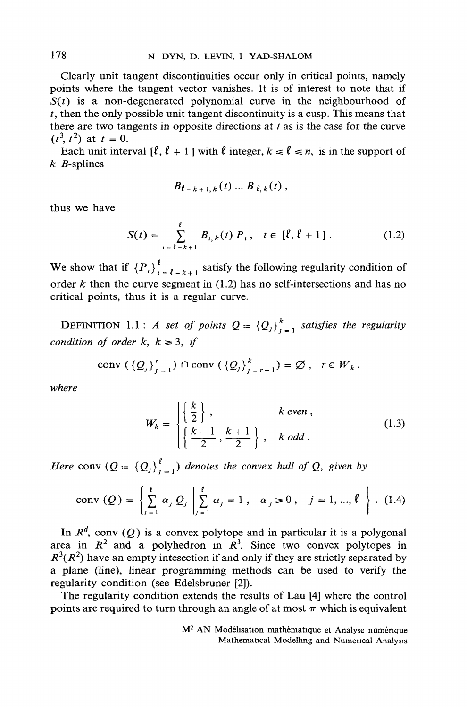Clearly unit tangent discontinuities occur only in critical points, namely points where the tangent vector vanishes. It is of interest to note that if  $S(t)$  is a non-degenerated polynomial curve in the neighbourhood of  $t$ , then the only possible unit tangent discontinuity is a cusp. This means that there are two tangents in opposite directions at  $t$  as is the case for the curve  $(t^3, t^2)$  at  $t = 0$ .

Each unit interval  $[\ell, \ell + 1]$  with  $\ell$  integer,  $k \le \ell \le n$ , is in the support of  $k$  *B*-splines

$$
B_{\ell-k+1,k}(t) \ldots B_{\ell,k}(t) \,,
$$

thus we have

$$
S(t) = \sum_{i=\ell-k+1}^{\ell} B_{i,k}(t) P_i, \quad t \in [\ell, \ell+1]. \tag{1.2}
$$

We show that if  ${P_i}_{i=1}^l$ , satisfy the following regularity condition of order  $k$  then the curve segment in (1.2) has no self-intersections and has no critical points, thus it is a regular curve.

**DEFINITION** 1.1 : A set of points  $Q = \{Q_j\}_{j=1}^k$  satisfies the regularity condition of order k,  $k \ge 3$ , if

$$
\operatorname{conv}\left(\left\{Q_{j}\right\}_{j=1}^{r}\right)\cap\operatorname{conv}\left(\left\{Q_{j}\right\}_{j=r+1}^{k}\right)=\varnothing,\ \ r\in W_{k}.
$$

where

$$
W_k = \begin{cases} \left\{ \frac{k}{2} \right\}, & k \text{ even }, \\ \left\{ \frac{k-1}{2}, \frac{k+1}{2} \right\}, & k \text{ odd}. \end{cases}
$$
 (1.3)

Here conv  $(Q = \{Q_j\}_{j=1}^{\ell})$  denotes the convex hull of Q, given by

conv (Q) = 
$$
\left\{\sum_{j=1}^{l} \alpha_j Q_j \middle| \sum_{j=1}^{l} \alpha_j = 1, \alpha_j \ge 0, j = 1, ..., l \right\}
$$
. (1.4)

In  $R^d$ , conv (Q) is a convex polytope and in particular it is a polygonal area in  $R^2$  and a polyhedron in  $R^3$ . Since two convex polytopes in  $R^3(R^2)$  have an empty intesection if and only if they are strictly separated by a plane (line), linear programming methods can be used to verify the regularity condition (see Edelsbruner [2]).

The regularity condition extends the results of Lau [4] where the control points are required to turn through an angle of at most  $\pi$  which is equivalent

> M<sup>2</sup> AN Modélisation mathématique et Analyse numérique Mathematical Modelling and Numerical Analysis

178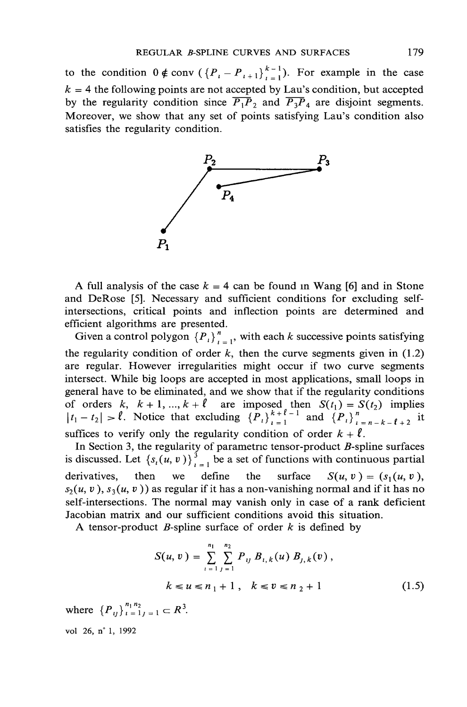to the condition  $0 \notin \text{conv } (\{P_i - P_{i+1}\}_{i=1}^{k-1})$ . For example in the case  $k = 4$  the following points are not accepted by Lau's condition, but accepted by the regularity condition since  $\overline{P_1P_2}$  and  $\overline{P_3P_4}$  are disjoint segments. Moreover, we show that any set of points satisfying Lau's condition also satisfies the regularity condition.



A full analysis of the case  $k = 4$  can be found in Wang [6] and in Stone and DeRose [5]. Necessary and sufficient conditions for excluding selfintersections, critical points and inflection points are determined and efficient algorithms are presented.

Given a control polygon  $\{P_i\}_{i=1}^n$ , with each k successive points satisfying the regularity condition of order  $k$ , then the curve segments given in (1.2) are regular. However irregularities might occur if two curve segments intersect. While big loops are accepted in most applications, small loops in general have to be eliminated, and we show that if the regularity conditions of orders k,  $k + 1, ..., k + \ell$  are imposed then  $S(t_1) = S(t_2)$  implies  $|t_1 - t_2| > \ell$ . Notice that excluding  ${P_t}_{t=1}^{k+\ell-1}$  and  ${P_t}_{t=n-k-\ell+2}^n$  it suffices to verify only the regularity condition of order  $k + \ell$ .

In Section 3, the regularity of parametric tensor-product *B*-spline surfaces is discussed. Let  $\{s_i(u, v)\}_{i=1}^3$  be a set of functions with continuous partial define derivatives. then we the surface  $S(u, v) = (s_1(u, v)),$  $s_2(u, v), s_3(u, v)$  as regular if it has a non-vanishing normal and if it has no self-intersections. The normal may vanish only in case of a rank deficient Jacobian matrix and our sufficient conditions avoid this situation.

A tensor-product B-spline surface of order  $k$  is defined by

$$
S(u, v) = \sum_{i=1}^{n_1} \sum_{j=1}^{n_2} P_{ij} B_{i,k}(u) B_{j,k}(v),
$$
  

$$
k \le u \le n_1 + 1, \quad k \le v \le n_2 + 1
$$
 (1.5)

where  ${P_{ij}}_{i=1}^{n_1 n_2}$   $\subset R^3$ . vol 26, n° 1, 1992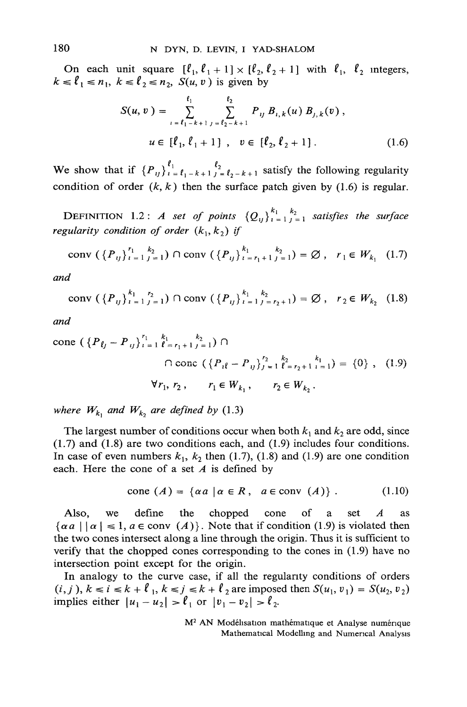On each unit square  $[\ell_1, \ell_1 + 1] \times [\ell_2, \ell_2 + 1]$  with  $\ell_1, \ell_2$  integers,  $k \leq l_1 \leq n_1$ ,  $k \leq l_2 \leq n_2$ ,  $S(u, v)$  is given by

$$
S(u, v) = \sum_{i=\ell_1-k+1}^{\ell_1} \sum_{j=\ell_2-k+1}^{\ell_2} P_{ij} B_{i,k}(u) B_{j,k}(v),
$$
  

$$
u \in [\ell_1, \ell_1+1], v \in [\ell_2, \ell_2+1].
$$
 (1.6)

We show that if  ${P_{ij}}_{i=\ell_1-k+1}^{\ell_1} \sum_{j=\ell_2-k+1}^{\ell_2} s_{j}$  satisfy the following regularity condition of order  $(k, k)$  then the surface patch given by (1.6) is regular.

**DEFINITION** 1.2: A set of points  $\{Q_{ij}\}_{i=1}^{k_1} \sum_{j=1}^{k_2}$  satisfies the surface regularity condition of order  $(k_1, k_2)$  if

conv 
$$
({P_{ij}}_{i=1}^{r_1} {k_2 \choose j=1} \cap conv ({P_{ij}}_{i=r_1+1}^{k_1} {k_2 \choose j=1}) = \emptyset
$$
,  $r_1 \in W_{k_1}$  (1.7)

and

conv 
$$
({P_{ij}}_{i=1}^{k_1} \sum_{j=1}^{r_2} ) \cap conv ({P_{ij}}_{i=1}^{k_1} \sum_{j=r_2+1}^{k_2} ) = \emptyset
$$
,  $r_2 \in W_{k_2}$  (1.8)

and

cone 
$$
(\{P_{\ell j} - P_{ij}\}_{i=1}^{r_1} \sum_{\ell=r_1+1}^{k_1} \sum_{j=1}^{k_2} ) \cap
$$
  
Q force  $(\{P_{i\ell} - P_{ij}\}_{j=1}^{r_2} \sum_{\ell=r_2+1}^{k_2} \sum_{i=1}^{k_1} ) = \{0\}, (1.9)$   
 $\forall r_1, r_2, r_1 \in W_{k_1}, r_2 \in W_{k_2}.$ 

where  $W_{k_1}$  and  $W_{k_2}$  are defined by (1.3)

The largest number of conditions occur when both  $k_1$  and  $k_2$  are odd, since  $(1.7)$  and  $(1.8)$  are two conditions each, and  $(1.9)$  includes four conditions. In case of even numbers  $k_1$ ,  $k_2$  then (1.7), (1.8) and (1.9) are one condition each. Here the cone of a set  $A$  is defined by

$$
cone (A) = \{ \alpha a \mid \alpha \in R, \ a \in conv (A) \} . \tag{1.10}
$$

Also. define the chopped cone of set  $\boldsymbol{A}$ we a as  $\{\alpha a \mid |\alpha| \le 1, a \in \text{conv } (A)\}\.$  Note that if condition (1.9) is violated then the two cones intersect along a line through the origin. Thus it is sufficient to verify that the chopped cones corresponding to the cones in  $(1.9)$  have no intersection point except for the origin.

In analogy to the curve case, if all the regularity conditions of orders  $(i, j), k \le i \le k + \ell_1, k \le j \le k + \ell_2$  are imposed then  $S(u_1, v_1) = S(u_2, v_2)$ implies either  $|u_1 - u_2| > \ell_1$  or  $|v_1 - v_2| > \ell_2$ .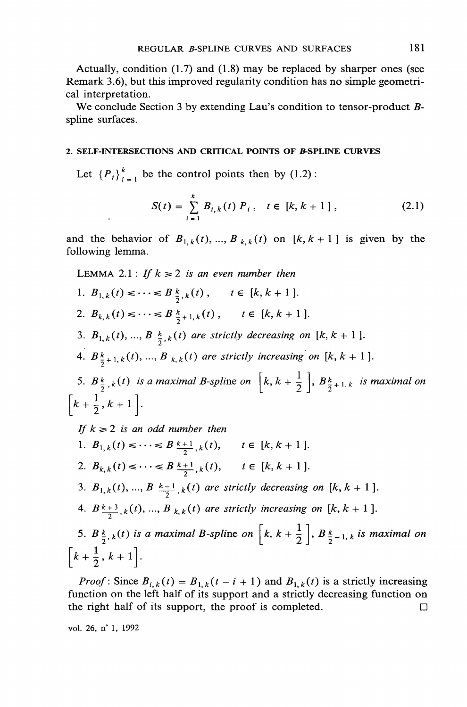Actually, condition  $(1.7)$  and  $(1.8)$  may be replaced by sharper ones (see Remark 3.6), but this improved regularity condition has no simple geometrical interpretation.

We conclude Section 3 by extending Lau's condition to tensor-product Bspline surfaces.

#### 2. SELF-INTERSECTIONS AND CRITICAL POINTS OF B-SPLINE CURVES

Let  ${P_i}_{i=1}^k$  be the control points then by (1.2):

$$
S(t) = \sum_{i=1}^{k} B_{i,k}(t) P_i, \quad t \in [k, k+1], \tag{2.1}
$$

and the behavior of  $B_{1,k}(t),...,B_{k,k}(t)$  on  $[k, k+1]$  is given by the following lemma.

LEMMA 2.1 : If  $k \ge 2$  is an even number then

- 1.  $B_{1,k}(t) \leq \cdots \leq B_{\frac{k}{2},k}(t)$ ,  $t \in [k, k+1]$ . 2.  $B_{k,k}(t) \leq \cdots \leq B_{\frac{k}{2}+1,k}(t)$ ,  $t \in [k, k+1]$ .
- 3.  $B_{1,k}(t)$ , ...,  $B_{\frac{k}{2},k}(t)$  are strictly decreasing on [k, k + 1].
- 4.  $B_{\frac{k}{2}+1,k}(t)$ , ...,  $B_{k,k}(t)$  are strictly increasing on [k, k + 1].

5.  $B_{\frac{k}{2},k}(t)$  is a maximal B-spline on  $\left[k, k+\frac{1}{2}\right], B_{\frac{k}{2}+1,k}$  is maximal on  $\left[k+\frac{1}{2},k+1\right]$ .

If  $k \geq 2$  is an odd number then 1.  $B_{1,k}(t) \leq \cdots \leq B_{\frac{k+1}{2},k}(t)$ ,  $t \in [k, k+1]$ . 2.  $B_{k,k}(t) \leq \cdots \leq B_{\frac{k+1}{2},k}(t), \quad t \in [k, k+1].$ 3.  $B_{1,k}(t), ..., B_{k-1,k}(t)$  are strictly decreasing on [k, k + 1]. 4.  $B_{\frac{k+3}{2},k}(t), ..., B_{k,k}(t)$  are strictly increasing on [k, k + 1]. 5.  $B_{\frac{k}{2},k}(t)$  is a maximal B-spline on  $\left[k, k+\frac{1}{2}\right]$ ,  $B_{\frac{k}{2}+1, k}$  is maximal on  $\left[k+\frac{1}{2},k+1\right]$ .

*Proof*: Since  $B_{i,k}(t) = B_{1,k}(t - i + 1)$  and  $B_{1,k}(t)$  is a strictly increasing function on the left half of its support and a strictly decreasing function on the right half of its support, the proof is completed.  $\Box$ 

vol. 26, n° 1, 1992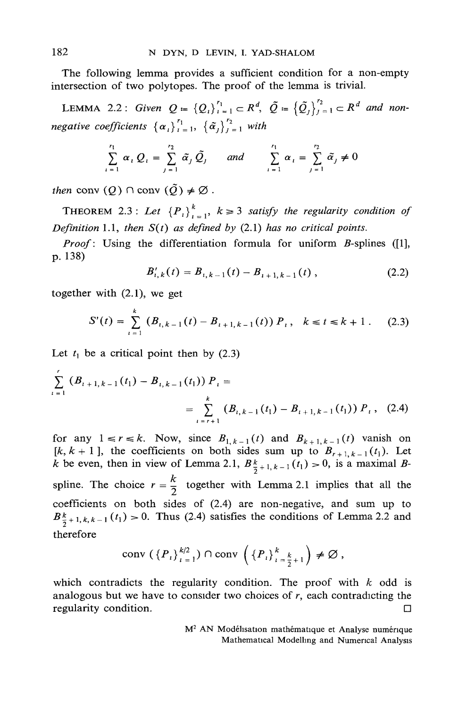The following lemma provides a sufficient condition for a non-empty intersection of two polytopes. The proof of the lemma is trivial.

LEMMA 2.2: Given  $Q = \{Q_i\}_{i=1}^{r_1} \subset R^d$ ,  $\tilde{Q} = \{\tilde{Q}_j\}_{j=1}^{r_2} \subset R^d$  and nonnegative coefficients  $\{\alpha_i\}_{i=1}^{r_1}$ ,  $\{\tilde{\alpha}_i\}_{i=1}^{r_2}$  with

$$
\sum_{i=1}^{r_1} \alpha_i Q_i = \sum_{j=1}^{r_2} \tilde{\alpha}_j \tilde{Q}_j \quad \text{and} \quad \sum_{i=1}^{r_1} \alpha_i = \sum_{j=1}^{r_2} \tilde{\alpha}_j \neq 0
$$

then conv  $(Q) \cap \text{conv } (\tilde{Q}) \neq \emptyset$ .

**THEOREM** 2.3: Let  ${P_i}_{i=1}^k$ ,  $k \ge 3$  satisfy the regularity condition of Definition 1.1, then  $S(t)$  as defined by (2.1) has no critical points.

Proof: Using the differentiation formula for uniform B-splines ([1], p. 138)

$$
B'_{i,k}(t) = B_{i,k-1}(t) - B_{i+1,k-1}(t) , \qquad (2.2)
$$

together with  $(2.1)$ , we get

$$
S'(t) = \sum_{i=1}^{k} (B_{i,k-1}(t) - B_{i+1,k-1}(t)) P_i, \quad k \le t \le k+1. \tag{2.3}
$$

Let  $t_1$  be a critical point then by (2.3)

$$
\sum_{i=1}^{k} (B_{i+1,k-1}(t_1) - B_{i,k-1}(t_1)) P_i =
$$
\n
$$
= \sum_{i=r+1}^{k} (B_{i,k-1}(t_1) - B_{i+1,k-1}(t_1)) P_i, \quad (2.4)
$$

for any  $1 \le r \le k$ . Now, since  $B_{1, k-1}(t)$  and  $B_{k+1, k-1}(t)$  vanish on [k, k + 1], the coefficients on both sides sum up to  $B_{r+1,k-1}(t_1)$ . Let k be even, then in view of Lemma 2.1,  $B_{\frac{k}{2}+1,k-1}(t_1) > 0$ , is a maximal Bspline. The choice  $r = \frac{k}{2}$  together with Lemma 2.1 implies that all the coefficients on both sides of (2.4) are non-negative, and sum up to  $B_{\frac{k}{2}+1,k,k-1}^{k}(t_1) > 0$ . Thus (2.4) satisfies the conditions of Lemma 2.2 and therefore

$$
\operatorname{conv}\left(\left\{P_{i}\right\}_{i=1}^{k/2}\right)\cap\operatorname{conv}\left(\left\{P_{i}\right\}_{i=\frac{k}{2}+1}^{k}\right)\neq\varnothing,
$$

which contradicts the regularity condition. The proof with  $k$  odd is analogous but we have to consider two choices of  $r$ , each contradicting the regularity condition.  $\Box$ 

> M<sup>2</sup> AN Modélisation mathématique et Analyse numérique Mathematical Modelling and Numerical Analysis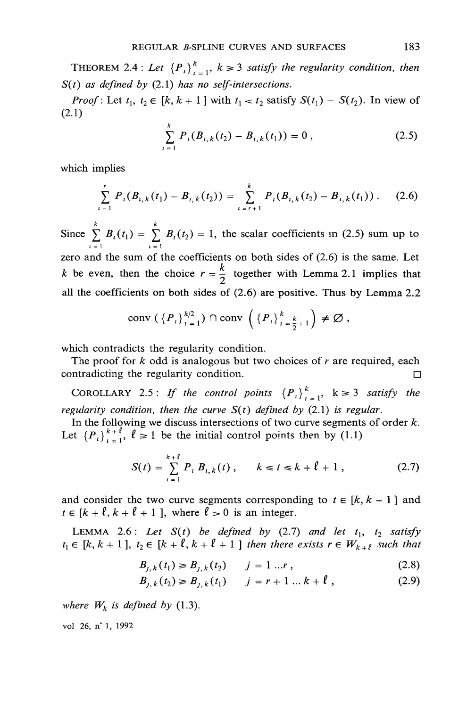THEOREM 2.4 : Let  ${P_i}_{i=1}^k$ ,  $k \ge 3$  satisfy the regularity condition, then  $S(t)$  as defined by (2.1) has no self-intersections.

*Proof*: Let  $t_1$ ,  $t_2 \in [k, k+1]$  with  $t_1 < t_2$  satisfy  $S(t_1) = S(t_2)$ . In view of  $(2.1)$ 

$$
\sum_{i=1}^{k} P_i(B_{i,k}(t_2) - B_{i,k}(t_1)) = 0,
$$
\n(2.5)

which implies

$$
\sum_{i=1}^{k} P_i(B_{i,k}(t_1) - B_{i,k}(t_2)) = \sum_{i=r+1}^{k} P_i(B_{i,k}(t_2) - B_{i,k}(t_1)) \,. \tag{2.6}
$$

Since  $\sum_{i=1}^{k} B_i(t_1) = \sum_{i=1}^{k} B_i(t_2) = 1$ , the scalar coefficients in (2.5) sum up to

zero and the sum of the coefficients on both sides of  $(2.6)$  is the same. Let k be even, then the choice  $r = \frac{k}{2}$  together with Lemma 2.1 implies that all the coefficients on both sides of  $(2.6)$  are positive. Thus by Lemma 2.2

$$
\operatorname{conv}\left(\left\{P_{i}\right\}_{i=1}^{k/2}\right)\cap\operatorname{conv}\left(\left\{P_{i}\right\}_{i=\frac{k}{2}+1}^{k}\right)\neq\varnothing,
$$

which contradicts the regularity condition.

The proof for  $k$  odd is analogous but two choices of  $r$  are required, each contradicting the regularity condition.  $\Box$ 

COROLLARY 2.5: If the control points  ${P_i}_{i=1}^k$ ,  $k \ge 3$  satisfy the regularity condition, then the curve  $S(t)$  defined by (2.1) is regular.

In the following we discuss intersections of two curve segments of order  $k$ . Let  $\{P_i\}_{i=1}^{k+\ell}$ ,  $\ell \ge 1$  be the initial control points then by (1.1)

$$
S(t) = \sum_{i=1}^{k+\ell} P_i B_{i,k}(t) , \qquad k \le t \le k+\ell+1 , \qquad (2.7)
$$

and consider the two curve segments corresponding to  $t \in [k, k + 1]$  and  $t \in [k + \ell, k + \ell + 1]$ , where  $\ell > 0$  is an integer.

LEMMA 2.6: Let  $S(t)$  be defined by (2.7) and let  $t_1$ ,  $t_2$  satisfy  $t_1 \in [k, k+1]$ ,  $t_2 \in [k + \ell, k + \ell + 1]$  then there exists  $r \in W_{k+\ell}$  such that

$$
B_{j,k}(t_1) \ge B_{j,k}(t_2) \qquad j = 1 \dots r \,, \tag{2.8}
$$

$$
B_{j,k}(t_2) \ge B_{j,k}(t_1) \qquad j = r+1 \dots k + \ell \tag{2.9}
$$

where  $W_k$  is defined by (1.3).

vol 26, n° 1, 1992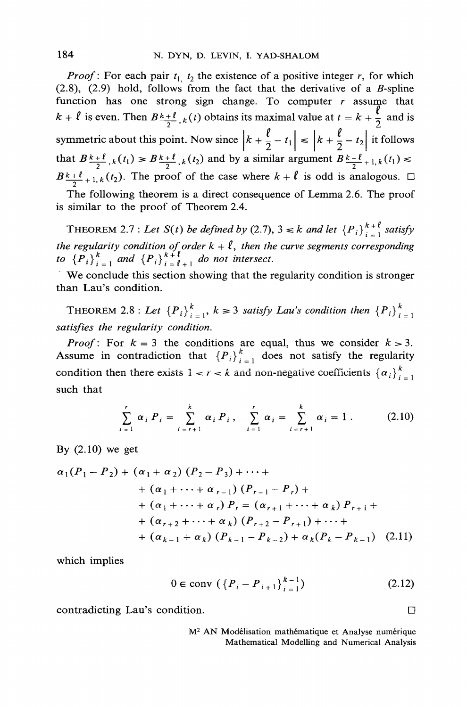*Proof*: For each pair  $t_1$ ,  $t_2$  the existence of a positive integer r, for which  $(2.8)$ ,  $(2.9)$  hold, follows from the fact that the derivative of a *B*-spline function has one strong sign change. To computer  $r$  assume that  $k + \ell$  is even. Then  $B \frac{k+\ell}{2}$ ,  $k(t)$  obtains its maximal value at  $t = k + \frac{\ell}{2}$  and is symmetric about this point. Now since  $\left|k + \frac{\ell}{2} - t_1\right| \le \left|k + \frac{\ell}{2} - t_2\right|$  it follows that  $B_{\frac{k+\ell}{2},k}(t_1) \ge B_{\frac{k+\ell}{2},k}(t_2)$  and by a similar argument  $B_{\frac{k+\ell}{2}+1,k}(t_1) \le$  $B_{\frac{k+\ell}{2}+1,k}(t_2)$ . The proof of the case where  $k+\ell$  is odd is analogous.  $\Box$ 

The following theorem is a direct consequence of Lemma 2.6. The proof is similar to the proof of Theorem 2.4.

**THEOREM** 2.7 : Let  $S(t)$  be defined by (2.7),  $3 \le k$  and let  $\{P_i\}_{i=1}^{k+l}$  satisfy the regularity condition of order  $k + \ell$ , then the curve segments corresponding to  ${P_i}_{i=1}^k$  and  ${P_i}_{i=1}^{k+l}$  do not intersect.

We conclude this section showing that the regularity condition is stronger than Lau's condition.

THEOREM 2.8 : Let  ${P_i}_{i=1}^k$ ,  $k \ge 3$  satisfy Lau's condition then  ${P_i}_{i=1}^k$ satisfies the regularity condition.

*Proof*: For  $k = 3$  the conditions are equal, thus we consider  $k > 3$ . Assume in contradiction that  ${P_i}_{i=1}^k$  does not satisfy the regularity condition then there exists  $1 < r < k$  and non-negative coefficients  $\{\alpha_i\}_{i=1}^k$ such that

$$
\sum_{i=1}^{r} \alpha_{i} P_{i} = \sum_{i=r+1}^{k} \alpha_{i} P_{i}, \quad \sum_{i=1}^{r} \alpha_{i} = \sum_{i=r+1}^{k} \alpha_{i} = 1. \quad (2.10)
$$

By  $(2.10)$  we get

$$
\alpha_1(P_1 - P_2) + (\alpha_1 + \alpha_2) (P_2 - P_3) + \cdots +
$$
  
+ (\alpha\_1 + \cdots + \alpha\_{r-1}) (P\_{r-1} - P\_r) +  
+ (\alpha\_1 + \cdots + \alpha\_r) P\_r = (\alpha\_{r+1} + \cdots + \alpha\_k) P\_{r+1} +  
+ (\alpha\_{r+2} + \cdots + \alpha\_k) (P\_{r+2} - P\_{r+1}) + \cdots +  
+ (\alpha\_{k-1} + \alpha\_k) (P\_{k-1} - P\_{k-2}) + \alpha\_k (P\_k - P\_{k-1}) (2.11)

which implies

$$
0 \in \text{conv } (\{P_i - P_{i+1}\}_{i=1}^{k-1})
$$
 (2.12)

contradicting Lau's condition.

M<sup>2</sup> AN Modélisation mathématique et Analyse numérique Mathematical Modelling and Numerical Analysis

□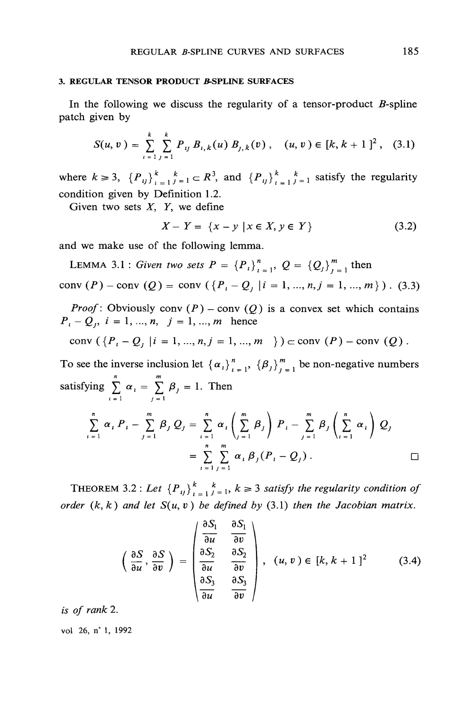#### **3. REGULAR TENSOR PRODUCT B-SPLINE SURFACES**

In the following we discuss the regularity of a tensor-product  $B$ -spline patch given by

$$
S(u, v) = \sum_{i=1}^{k} \sum_{j=1}^{k} P_{ij} B_{i,k}(u) B_{j,k}(v), \quad (u, v) \in [k, k+1]^2, \quad (3.1)
$$

where  $k \ge 3$ ,  $\{P_{ij}\}_{i=1}^k$ ,  $\{F_{ij}\}_{i=1}^k$  and  $\{P_{ij}\}_{i=1}^k$ , and  $\{P_{ij}\}_{i=1}^k$  attisfy the regularity condition given by Definition 1.2.

Given two sets  $X$ ,  $Y$ , we define

$$
X - Y = \{x - y \mid x \in X, y \in Y\}
$$
 (3.2)

and we make use of the following lemma.

LEMMA 3.1 : Given two sets  $P = {P_i}_{i=1}^n$ ,  $Q = {Q_i}_{i=1}^m$  then conv  $(P)$  – conv  $(Q)$  = conv  $({P<sub>i</sub> - Q<sub>j</sub> | i = 1, ..., n, j = 1, ..., m})$ . (3.3)

*Proof*: Obviously conv  $(P)$  – conv  $(Q)$  is a convex set which contains  $P_i - Q_i$ ,  $i = 1, ..., n, j = 1, ..., m$  hence

conv 
$$
({Pi - Qj | i = 1, ..., n, j = 1, ..., m})
$$
 c conv  $(P) - conv(Q)$ .

To see the inverse inclusion let  $\{\alpha_i\}_{i=1}^n$ ,  $\{\beta_j\}_{i=1}^m$  be non-negative numbers satisfying  $\sum_{i=1}^{n} \alpha_i = \sum_{i=1}^{m} \beta_i = 1$ . Then

$$
\sum_{i=1}^{n} \alpha_{i} P_{i} - \sum_{j=1}^{m} \beta_{j} Q_{j} = \sum_{i=1}^{n} \alpha_{i} \left( \sum_{j=1}^{m} \beta_{j} \right) P_{i} - \sum_{j=1}^{m} \beta_{j} \left( \sum_{i=1}^{n} \alpha_{i} \right) Q_{j}
$$

$$
= \sum_{i=1}^{n} \sum_{j=1}^{m} \alpha_{i} \beta_{j} (P_{i} - Q_{j}). \square
$$

THEOREM 3.2 : Let  ${P_{ij}}_{i=1}^k$ ,  $k \ge 3$  satisfy the regularity condition of order  $(k, k)$  and let  $S(u, v)$  be defined by (3.1) then the Jacobian matrix.

$$
\left(\frac{\partial S}{\partial u},\frac{\partial S}{\partial v}\right)=\begin{pmatrix}\frac{\partial S_1}{\partial u} & \frac{\partial S_1}{\partial v} \\ \frac{\partial S_2}{\partial u} & \frac{\partial S_2}{\partial v} \\ \frac{\partial S_3}{\partial u} & \frac{\partial S_3}{\partial v}\end{pmatrix}, \quad (u,v)\in [k, k+1]^2\tag{3.4}
$$

is of rank 2.

vol 26, n° 1, 1992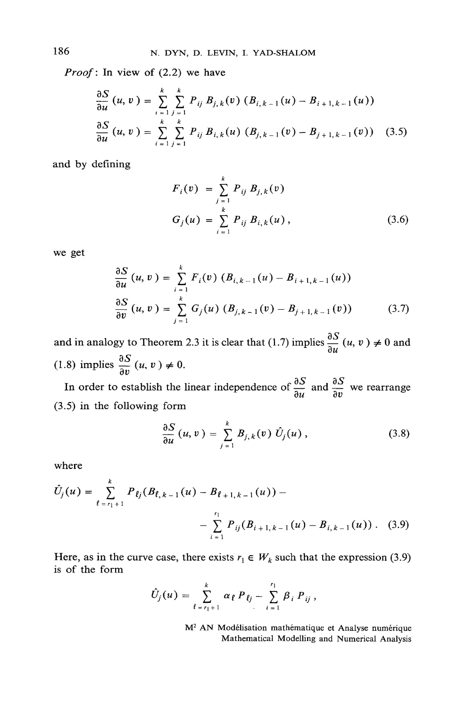*Proof*: In view of  $(2.2)$  we have

$$
\frac{\partial S}{\partial u}(u, v) = \sum_{i=1}^{k} \sum_{j=1}^{k} P_{ij} B_{j,k}(v) (B_{i,k-1}(u) - B_{i+1,k-1}(u))
$$
  

$$
\frac{\partial S}{\partial u}(u, v) = \sum_{i=1}^{k} \sum_{j=1}^{k} P_{ij} B_{i,k}(u) (B_{j,k-1}(v) - B_{j+1,k-1}(v))
$$
(3.5)

and by defining

$$
F_i(v) = \sum_{j=1}^{k} P_{ij} B_{j,k}(v)
$$
  
\n
$$
G_j(u) = \sum_{i=1}^{k} P_{ij} B_{i,k}(u),
$$
\n(3.6)

we get

$$
\frac{\partial S}{\partial u}(u, v) = \sum_{i=1}^{k} F_i(v) (B_{i, k-1}(u) - B_{i+1, k-1}(u))
$$
  

$$
\frac{\partial S}{\partial v}(u, v) = \sum_{j=1}^{k} G_j(u) (B_{j, k-1}(v) - B_{j+1, k-1}(v))
$$
(3.7)

and in analogy to Theorem 2.3 it is clear that (1.7) implies  $\frac{\partial S}{\partial u}(u, v) \neq 0$  and (1.8) implies  $\frac{\partial S}{\partial v}(u, v) \neq 0$ .

In order to establish the linear independence of  $\frac{\partial S}{\partial u}$  and  $\frac{\partial S}{\partial v}$  we rearrange  $(3.5)$  in the following form

$$
\frac{\partial S}{\partial u}(u,v) = \sum_{j=1}^{k} B_{j,k}(v) \hat{U}_j(u), \qquad (3.8)
$$

where

$$
\hat{U}_j(u) = \sum_{\ell=r_1+1}^k P_{\ell j}(B_{\ell,k-1}(u) - B_{\ell+1,k-1}(u)) - \sum_{i=1}^{r_1} P_{ij}(B_{i+1,k-1}(u) - B_{i,k-1}(u)) \ . \tag{3.9}
$$

Here, as in the curve case, there exists  $r_1 \in W_k$  such that the expression (3.9) is of the form

$$
\hat{U}_j(u) = \sum_{\ell=r_1+1}^k \alpha_{\ell} P_{\ell j} - \sum_{i=1}^{r_1} \beta_i P_{ij},
$$

M<sup>2</sup> AN Modélisation mathématique et Analyse numérique Mathematical Modelling and Numerical Analysis

186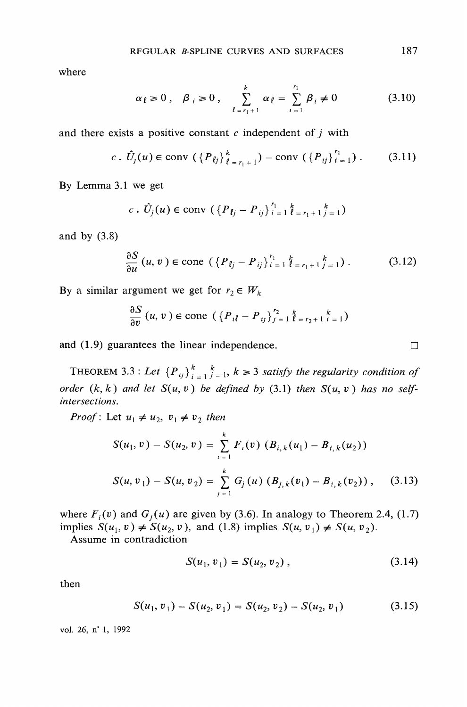where

$$
\alpha_{\ell} \ge 0
$$
,  $\beta_{i} \ge 0$ ,  $\sum_{\ell=r_{1}+1}^{k} \alpha_{\ell} = \sum_{i=1}^{r_{1}} \beta_{i} \ne 0$  (3.10)

and there exists a positive constant  $c$  independent of  $j$  with

$$
c \, . \, \hat{U}_j(u) \in \text{conv } (\{P_{ij}\}_{\ell = r_1 + 1}^k) - \text{conv } (\{P_{ij}\}_{i=1}^{r_1}). \tag{3.11}
$$

By Lemma 3.1 we get

$$
c \cdot \hat{U}_j(u) \in \text{conv } (\{P_{\ell j} - P_{ij}\}_{i=1}^{r_1} \times \{e_{r_1+1} \times \{e_{j}\})
$$

and by  $(3.8)$ 

$$
\frac{\partial S}{\partial u}(u, v) \in \text{cone}\,\left(\,\left\{\,P_{\,\ell_j} - P_{\,ij}\,\right\}^{\,r_1}_{\,i\,=\,1}\,\right.\left\{ \,k_{\,=\,r_1\,+\,1}\,\right\}_{\,=\,1}\,\right)\,\,.
$$

By a similar argument we get for  $r_2 \in W_k$ 

$$
\frac{\partial S}{\partial v}(u, v) \in \text{cone}\,\left(\left\{P_{i\ell} - P_{ij}\right\}_{j=1}^{r_2} \frac{k}{\ell_{r_2+1}} \frac{k}{i-1}\right)
$$

and (1.9) guarantees the linear independence.

THEOREM 3.3 : Let  ${P_{ij}}_{i=1}^k$ ,  $k \ge 3$  satisfy the regularity condition of order  $(k, k)$  and let  $S(u, v)$  be defined by (3.1) then  $S(u, v)$  has no selfintersections.

*Proof*: Let  $u_1 \neq u_2$ ,  $v_1 \neq v_2$  then

$$
S(u_1, v) - S(u_2, v) = \sum_{i=1}^{k} F_i(v) (B_{i,k}(u_1) - B_{i,k}(u_2))
$$
  

$$
S(u, v_1) - S(u, v_2) = \sum_{j=1}^{k} G_j(u) (B_{j,k}(v_1) - B_{i,k}(v_2)),
$$
 (3.13)

where  $F_i(v)$  and  $G_j(u)$  are given by (3.6). In analogy to Theorem 2.4, (1.7) implies  $S(u_1, v) \neq S(u_2, v)$ , and (1.8) implies  $S(u, v_1) \neq S(u, v_2)$ .

Assume in contradiction

$$
S(u_1, v_1) = S(u_2, v_2) , \qquad (3.14)
$$

then

$$
S(u_1, v_1) - S(u_2, v_1) = S(u_2, v_2) - S(u_2, v_1) \tag{3.15}
$$

vol. 26, n° 1, 1992

 $\Box$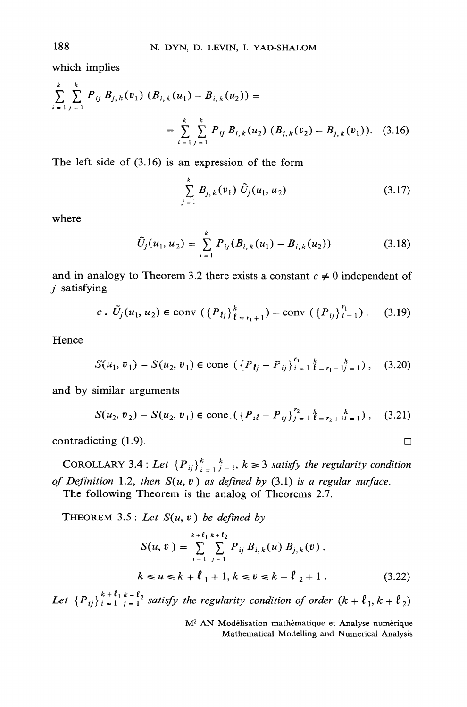which implies

$$
\sum_{i=1}^{k} \sum_{j=1}^{k} P_{ij} B_{j,k}(v_1) (B_{i,k}(u_1) - B_{i,k}(u_2)) =
$$
\n
$$
= \sum_{i=1}^{k} \sum_{j=1}^{k} P_{ij} B_{i,k}(u_2) (B_{j,k}(v_2) - B_{j,k}(v_1)). \quad (3.16)
$$

The left side of  $(3.16)$  is an expression of the form

$$
\sum_{j=1}^{k} B_{j,k}(v_1) \ \tilde{U}_j(u_1, u_2) \tag{3.17}
$$

where

$$
\tilde{U}_j(u_1, u_2) = \sum_{i=1}^k P_{ij}(B_{i,k}(u_1) - B_{i,k}(u_2))
$$
\n(3.18)

and in analogy to Theorem 3.2 there exists a constant  $c \neq 0$  independent of  $i$  satisfying

$$
c \cdot \tilde{U}_j(u_1, u_2) \in \text{conv } (\{P_{ij}\}_{\ell = r_1 + 1}^k) - \text{conv } (\{P_{ij}\}_{i=1}^{r_1}). \quad (3.19)
$$

Hence

$$
S(u_1, v_1) - S(u_2, v_1) \in \text{cone} \left( \left\{ P_{ij} - P_{ij} \right\}_{i=1}^{r_1} \right)_{i=1}^{k} = r_1 + 1 \choose i = 1 \tag{3.20}
$$

and by similar arguments

$$
S(u_2, v_2) - S(u_2, v_1) \in \text{cone} \left( \left\{ P_{i\ell} - P_{ij} \right\}_{j=1}^{r_2} \right) \left\{ \frac{k}{\ell} \right\}_{r_2 + 1}^{k} \left( \frac{k}{\ell} \right), \quad (3.21)
$$

contradicting (1.9).

COROLLARY 3.4 : Let  ${P_{ij}}_{i=1}^k$ ,  $k \ge 3$  satisfy the regularity condition of Definition 1.2, then  $S(u, v)$  as defined by (3.1) is a regular surface.

The following Theorem is the analog of Theorems 2.7.

THEOREM 3.5: Let  $S(u, v)$  be defined by

$$
S(u, v) = \sum_{i=1}^{k+\ell_1} \sum_{j=1}^{k+\ell_2} P_{ij} B_{i,k}(u) B_{j,k}(v),
$$
  

$$
k \le u \le k + \ell_1 + 1, k \le v \le k + \ell_2 + 1.
$$
 (3.22)

Let  ${P_{ij}}_{i=1}^{k+\ell_1}$   $k+\ell_2$  satisfy the regularity condition of order  $(k+\ell_1, k+\ell_2)$ 

M<sup>2</sup> AN Modélisation mathématique et Analyse numérique Mathematical Modelling and Numerical Analysis

188

$$
\qquad \qquad \Box
$$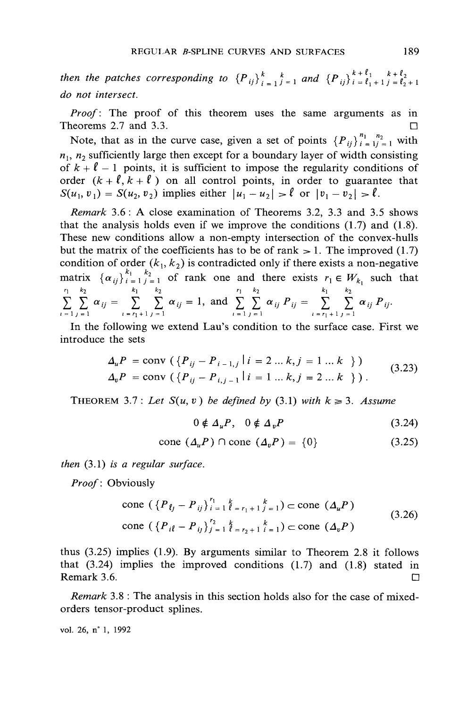then the patches corresponding to  ${P_{ij}}_{i=1}^k \underset{j=1}{\overset{k}{\to}} 1$  and  ${P_{ij}}_{i=\ell_1+1}^{k+\ell_1} \underset{j=\ell_2+1}{\overset{k+\ell_2}{\to}}$ do not intersect

*Proof*: The proof of this theorem uses the same arguments as in Theorems 2.7 and 3.3. П

Note, that as in the curve case, given a set of points  $\{P_{ii}\}_{i=1}^{n_1} \sum_{i=1}^{n_2}$  with  $n_1$ ,  $n_2$  sufficiently large then except for a boundary layer of width consisting of  $k + \ell - 1$  points, it is sufficient to impose the regularity conditions of order  $(k + \ell, k + \ell)$  on all control points, in order to guarantee that  $S(u_1, v_1) = S(u_2, v_2)$  implies either  $|u_1 - u_2| > l$  or  $|v_1 - v_2| > l$ .

Remark 3.6: A close examination of Theorems 3.2, 3.3 and 3.5 shows that the analysis holds even if we improve the conditions  $(1.7)$  and  $(1.8)$ . These new conditions allow a non-empty intersection of the convex-hulls but the matrix of the coefficients has to be of rank  $> 1$ . The improved (1.7) condition of order  $(k_1, k_2)$  is contradicted only if there exists a non-negative matrix  $\{\alpha_{ij}\}_{i=1}^{k_1}$   $\sum_{j=1}^{k_2}$  of rank one and there exists  $r_1 \in W_{k_1}$  such that<br>  $\sum_{i=1}^{r_1} \sum_{j=1}^{k_2} \alpha_{ij} = \sum_{i=r_1+1}^{k_1} \sum_{j=1}^{k_2} \alpha_{ij} = 1$ , and  $\sum_{i=1}^{r_1} \sum_{j=1}^{k_2} \alpha_{ij} P_{ij} = \sum_{i=r_1+1}^{k_1} \sum_{$ 

In the following we extend Lau's condition to the surface case. First we introduce the sets

$$
\Delta_{u}P = \text{conv}\left(\left\{P_{ij} - P_{i-1,j} | i = 2...k, j = 1...k\right\}\right)
$$
  
\n
$$
\Delta_{v}P = \text{conv}\left(\left\{P_{ij} - P_{i,j-1} | i = 1...k, j = 2...k\right\}\right).
$$
\n(3.23)

THEOREM 3.7: Let  $S(u, v)$  be defined by (3.1) with  $k \ge 3$ . Assume

$$
0 \notin \Delta_u P, \quad 0 \notin \Delta_v P \tag{3.24}
$$

$$
cone (\Delta_u P) \cap cone (\Delta_v P) = \{0\} \tag{3.25}
$$

then  $(3.1)$  is a regular surface.

*Proof*: Obviously

cone 
$$
(\{P_{ij} - P_{ij}\}_{i=1}^{r_1} \sum_{\ell=r_1+1}^{k} \sum_{j=1}^{k} ) \subset \text{cone } (\Delta_u P)
$$
  
cone  $(\{P_{i\ell} - P_{ij}\}_{j=1}^{r_2} \sum_{\ell=r_2+1}^{k} \sum_{i=1}^{k} ) \subset \text{cone } (\Delta_v P)$  (3.26)

thus  $(3.25)$  implies  $(1.9)$ . By arguments similar to Theorem 2.8 it follows that  $(3.24)$  implies the improved conditions  $(1.7)$  and  $(1.8)$  stated in Remark 3.6.

Remark 3.8 : The analysis in this section holds also for the case of mixedorders tensor-product splines.

vol. 26, n° 1, 1992